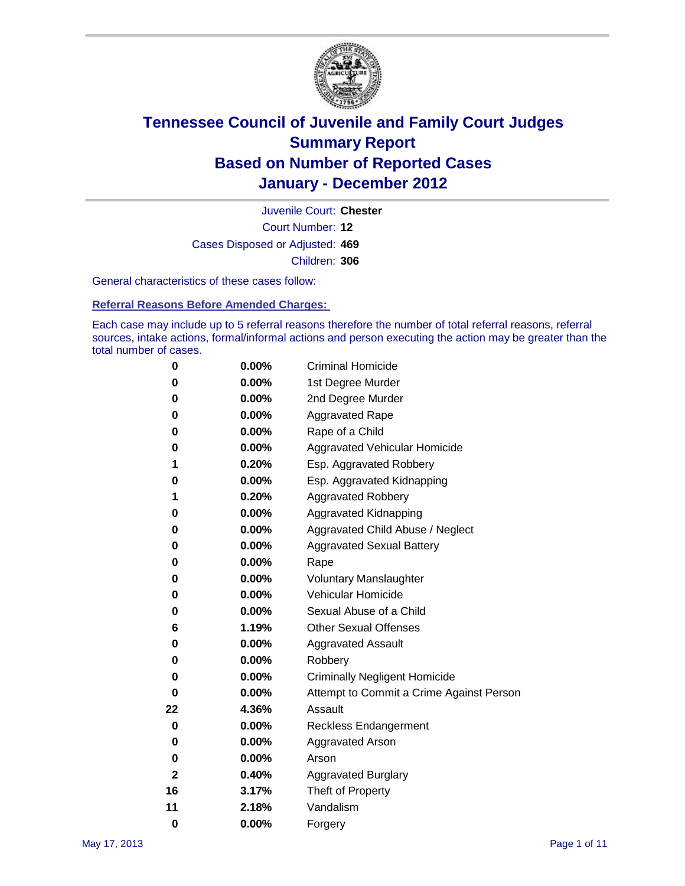

Court Number: **12** Juvenile Court: **Chester** Cases Disposed or Adjusted: **469** Children: **306**

General characteristics of these cases follow:

**Referral Reasons Before Amended Charges:** 

Each case may include up to 5 referral reasons therefore the number of total referral reasons, referral sources, intake actions, formal/informal actions and person executing the action may be greater than the total number of cases.

| 0  | 0.00%    | <b>Criminal Homicide</b>                 |
|----|----------|------------------------------------------|
| 0  | 0.00%    | 1st Degree Murder                        |
| 0  | 0.00%    | 2nd Degree Murder                        |
| 0  | 0.00%    | <b>Aggravated Rape</b>                   |
| 0  | 0.00%    | Rape of a Child                          |
| 0  | 0.00%    | Aggravated Vehicular Homicide            |
| 1  | 0.20%    | Esp. Aggravated Robbery                  |
| 0  | 0.00%    | Esp. Aggravated Kidnapping               |
| 1  | 0.20%    | <b>Aggravated Robbery</b>                |
| 0  | 0.00%    | Aggravated Kidnapping                    |
| 0  | 0.00%    | Aggravated Child Abuse / Neglect         |
| 0  | $0.00\%$ | <b>Aggravated Sexual Battery</b>         |
| 0  | 0.00%    | Rape                                     |
| 0  | $0.00\%$ | <b>Voluntary Manslaughter</b>            |
| 0  | 0.00%    | Vehicular Homicide                       |
| 0  | 0.00%    | Sexual Abuse of a Child                  |
| 6  | 1.19%    | <b>Other Sexual Offenses</b>             |
| 0  | 0.00%    | <b>Aggravated Assault</b>                |
| 0  | $0.00\%$ | Robbery                                  |
| 0  | 0.00%    | <b>Criminally Negligent Homicide</b>     |
| 0  | 0.00%    | Attempt to Commit a Crime Against Person |
| 22 | 4.36%    | Assault                                  |
| 0  | 0.00%    | <b>Reckless Endangerment</b>             |
| 0  | 0.00%    | <b>Aggravated Arson</b>                  |
| 0  | 0.00%    | Arson                                    |
| 2  | 0.40%    | <b>Aggravated Burglary</b>               |
| 16 | 3.17%    | Theft of Property                        |
| 11 | 2.18%    | Vandalism                                |
| 0  | 0.00%    | Forgery                                  |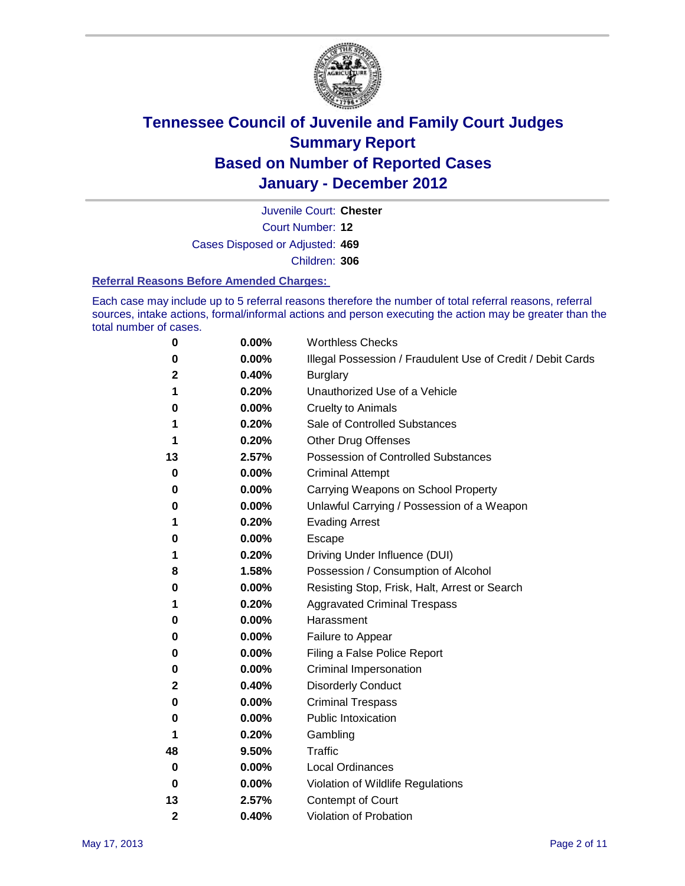

Court Number: **12** Juvenile Court: **Chester** Cases Disposed or Adjusted: **469** Children: **306**

#### **Referral Reasons Before Amended Charges:**

Each case may include up to 5 referral reasons therefore the number of total referral reasons, referral sources, intake actions, formal/informal actions and person executing the action may be greater than the total number of cases.

| 0            | 0.00% | <b>Worthless Checks</b>                                     |
|--------------|-------|-------------------------------------------------------------|
| 0            | 0.00% | Illegal Possession / Fraudulent Use of Credit / Debit Cards |
| $\mathbf{2}$ | 0.40% | <b>Burglary</b>                                             |
| 1            | 0.20% | Unauthorized Use of a Vehicle                               |
| 0            | 0.00% | <b>Cruelty to Animals</b>                                   |
| 1            | 0.20% | Sale of Controlled Substances                               |
| 1            | 0.20% | <b>Other Drug Offenses</b>                                  |
| 13           | 2.57% | Possession of Controlled Substances                         |
| 0            | 0.00% | <b>Criminal Attempt</b>                                     |
| 0            | 0.00% | Carrying Weapons on School Property                         |
| 0            | 0.00% | Unlawful Carrying / Possession of a Weapon                  |
| 1            | 0.20% | <b>Evading Arrest</b>                                       |
| 0            | 0.00% | Escape                                                      |
| 1            | 0.20% | Driving Under Influence (DUI)                               |
| 8            | 1.58% | Possession / Consumption of Alcohol                         |
| 0            | 0.00% | Resisting Stop, Frisk, Halt, Arrest or Search               |
| 1            | 0.20% | <b>Aggravated Criminal Trespass</b>                         |
| 0            | 0.00% | Harassment                                                  |
| 0            | 0.00% | Failure to Appear                                           |
| 0            | 0.00% | Filing a False Police Report                                |
| 0            | 0.00% | Criminal Impersonation                                      |
| 2            | 0.40% | <b>Disorderly Conduct</b>                                   |
| 0            | 0.00% | <b>Criminal Trespass</b>                                    |
| 0            | 0.00% | <b>Public Intoxication</b>                                  |
| 1            | 0.20% | Gambling                                                    |
| 48           | 9.50% | Traffic                                                     |
| 0            | 0.00% | <b>Local Ordinances</b>                                     |
| 0            | 0.00% | Violation of Wildlife Regulations                           |
| 13           | 2.57% | Contempt of Court                                           |
| 2            | 0.40% | Violation of Probation                                      |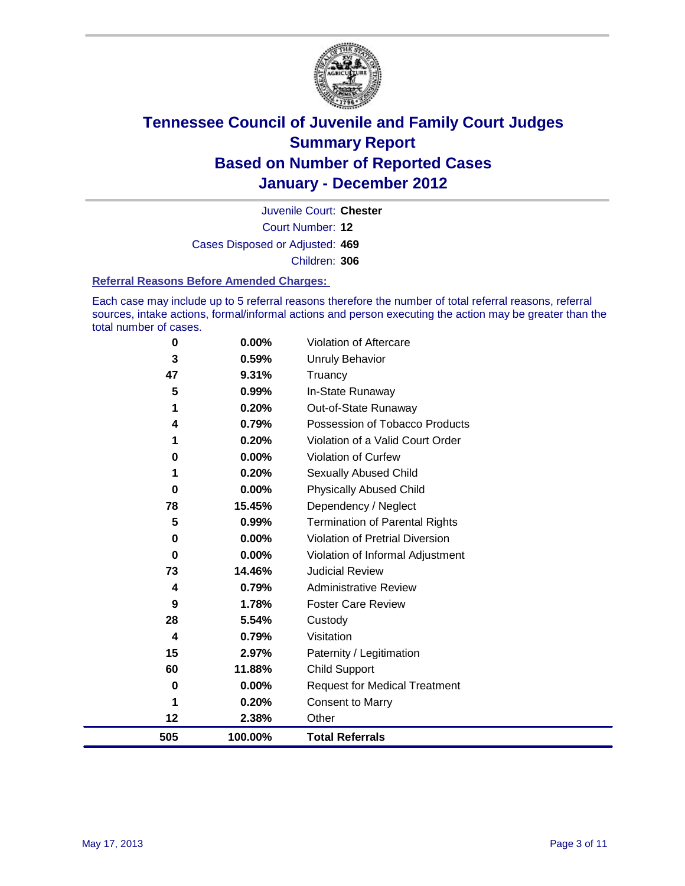

Court Number: **12** Juvenile Court: **Chester** Cases Disposed or Adjusted: **469** Children: **306**

#### **Referral Reasons Before Amended Charges:**

Each case may include up to 5 referral reasons therefore the number of total referral reasons, referral sources, intake actions, formal/informal actions and person executing the action may be greater than the total number of cases.

| 0   | 0.00%   | Violation of Aftercare                 |
|-----|---------|----------------------------------------|
| 3   | 0.59%   | <b>Unruly Behavior</b>                 |
| 47  | 9.31%   | Truancy                                |
| 5   | 0.99%   | In-State Runaway                       |
| 1   | 0.20%   | Out-of-State Runaway                   |
| 4   | 0.79%   | Possession of Tobacco Products         |
|     | 0.20%   | Violation of a Valid Court Order       |
| 0   | 0.00%   | <b>Violation of Curfew</b>             |
|     | 0.20%   | Sexually Abused Child                  |
| 0   | 0.00%   | <b>Physically Abused Child</b>         |
| 78  | 15.45%  | Dependency / Neglect                   |
| 5   | 0.99%   | Termination of Parental Rights         |
| 0   | 0.00%   | <b>Violation of Pretrial Diversion</b> |
| 0   | 0.00%   | Violation of Informal Adjustment       |
| 73  | 14.46%  | <b>Judicial Review</b>                 |
| 4   | 0.79%   | <b>Administrative Review</b>           |
| 9   | 1.78%   | <b>Foster Care Review</b>              |
| 28  | 5.54%   | Custody                                |
| 4   | 0.79%   | Visitation                             |
| 15  | 2.97%   | Paternity / Legitimation               |
| 60  | 11.88%  | <b>Child Support</b>                   |
| 0   | 0.00%   | <b>Request for Medical Treatment</b>   |
| 1   | 0.20%   | <b>Consent to Marry</b>                |
| 12  | 2.38%   | Other                                  |
| 505 | 100.00% | <b>Total Referrals</b>                 |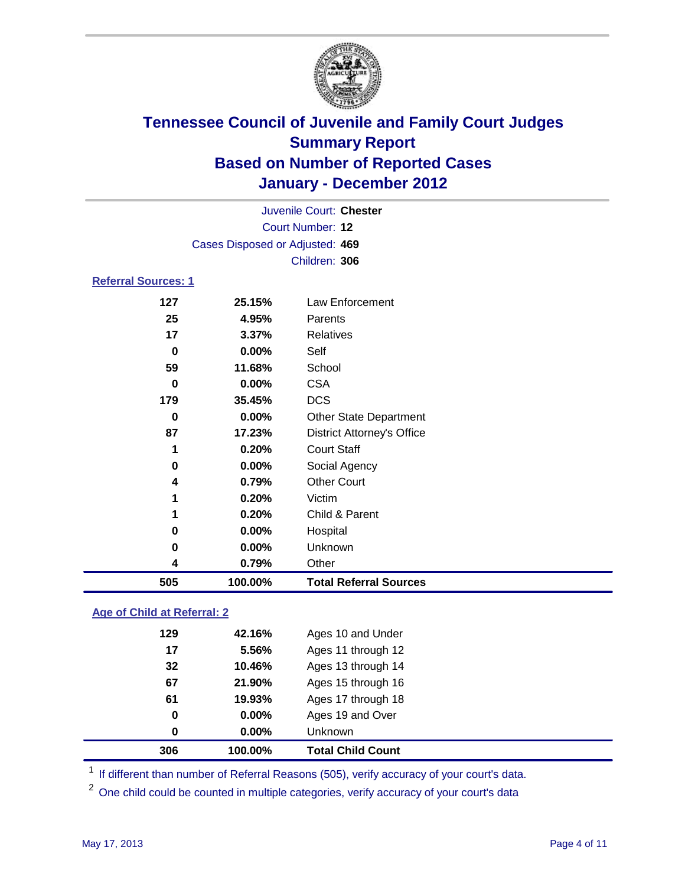

| Juvenile Court: Chester    |                                 |                                   |  |  |  |
|----------------------------|---------------------------------|-----------------------------------|--|--|--|
|                            | Court Number: 12                |                                   |  |  |  |
|                            | Cases Disposed or Adjusted: 469 |                                   |  |  |  |
|                            | Children: 306                   |                                   |  |  |  |
| <b>Referral Sources: 1</b> |                                 |                                   |  |  |  |
| 127                        | 25.15%                          | Law Enforcement                   |  |  |  |
| 25                         | 4.95%                           | Parents                           |  |  |  |
| 17                         | 3.37%                           | <b>Relatives</b>                  |  |  |  |
| 0                          | 0.00%                           | Self                              |  |  |  |
| 59                         | 11.68%                          | School                            |  |  |  |
| 0                          | 0.00%                           | <b>CSA</b>                        |  |  |  |
| 179                        | 35.45%                          | <b>DCS</b>                        |  |  |  |
| 0                          | $0.00\%$                        | <b>Other State Department</b>     |  |  |  |
| 87                         | 17.23%                          | <b>District Attorney's Office</b> |  |  |  |
| 1                          | 0.20%                           | <b>Court Staff</b>                |  |  |  |
| $\mathbf 0$                | 0.00%                           | Social Agency                     |  |  |  |
| 4                          | 0.79%                           | <b>Other Court</b>                |  |  |  |
| 1                          | 0.20%                           | Victim                            |  |  |  |
| 1                          | 0.20%                           | Child & Parent                    |  |  |  |
| 0                          | 0.00%                           | Hospital                          |  |  |  |
| 0                          | 0.00%                           | Unknown                           |  |  |  |
| 4                          | 0.79%                           | Other                             |  |  |  |
| 505                        | 100.00%                         | <b>Total Referral Sources</b>     |  |  |  |
|                            |                                 |                                   |  |  |  |

### **Age of Child at Referral: 2**

| 306 | 100.00% | <b>Total Child Count</b> |
|-----|---------|--------------------------|
| 0   | 0.00%   | <b>Unknown</b>           |
| 0   | 0.00%   | Ages 19 and Over         |
| 61  | 19.93%  | Ages 17 through 18       |
| 67  | 21.90%  | Ages 15 through 16       |
| 32  | 10.46%  | Ages 13 through 14       |
| 17  | 5.56%   | Ages 11 through 12       |
| 129 | 42.16%  | Ages 10 and Under        |
|     |         |                          |

<sup>1</sup> If different than number of Referral Reasons (505), verify accuracy of your court's data.

<sup>2</sup> One child could be counted in multiple categories, verify accuracy of your court's data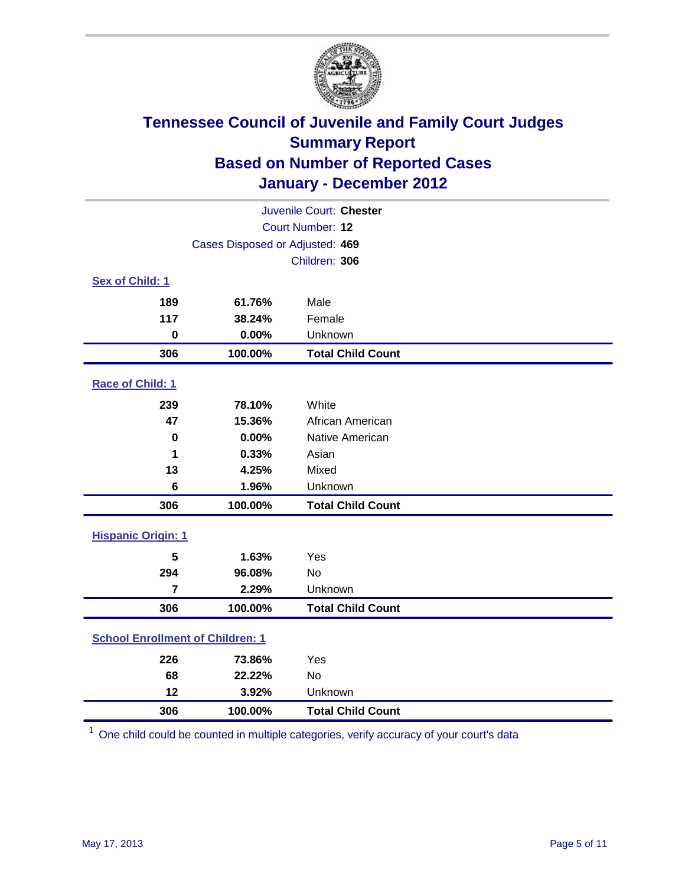

|                                         | Juvenile Court: Chester         |                          |  |  |  |
|-----------------------------------------|---------------------------------|--------------------------|--|--|--|
|                                         | Court Number: 12                |                          |  |  |  |
|                                         | Cases Disposed or Adjusted: 469 |                          |  |  |  |
|                                         |                                 | Children: 306            |  |  |  |
| Sex of Child: 1                         |                                 |                          |  |  |  |
| 189                                     | 61.76%                          | Male                     |  |  |  |
| 117                                     | 38.24%                          | Female                   |  |  |  |
| $\mathbf 0$                             | 0.00%                           | Unknown                  |  |  |  |
| 306                                     | 100.00%                         | <b>Total Child Count</b> |  |  |  |
| Race of Child: 1                        |                                 |                          |  |  |  |
| 239                                     | 78.10%                          | White                    |  |  |  |
| 47                                      | 15.36%                          | African American         |  |  |  |
| $\mathbf 0$                             | 0.00%                           | Native American          |  |  |  |
| 1                                       | 0.33%                           | Asian                    |  |  |  |
| 13                                      | 4.25%                           | Mixed                    |  |  |  |
| 6                                       | 1.96%                           | Unknown                  |  |  |  |
| 306                                     | 100.00%                         | <b>Total Child Count</b> |  |  |  |
| <b>Hispanic Origin: 1</b>               |                                 |                          |  |  |  |
| 5                                       | 1.63%                           | Yes                      |  |  |  |
| 294                                     | 96.08%                          | No                       |  |  |  |
| $\overline{7}$                          | 2.29%                           | Unknown                  |  |  |  |
| 306                                     | 100.00%                         | <b>Total Child Count</b> |  |  |  |
| <b>School Enrollment of Children: 1</b> |                                 |                          |  |  |  |
| 226                                     | 73.86%                          | Yes                      |  |  |  |
| 68                                      | 22.22%                          | <b>No</b>                |  |  |  |
| 12                                      | 3.92%                           | Unknown                  |  |  |  |
| 306                                     | 100.00%                         | <b>Total Child Count</b> |  |  |  |

One child could be counted in multiple categories, verify accuracy of your court's data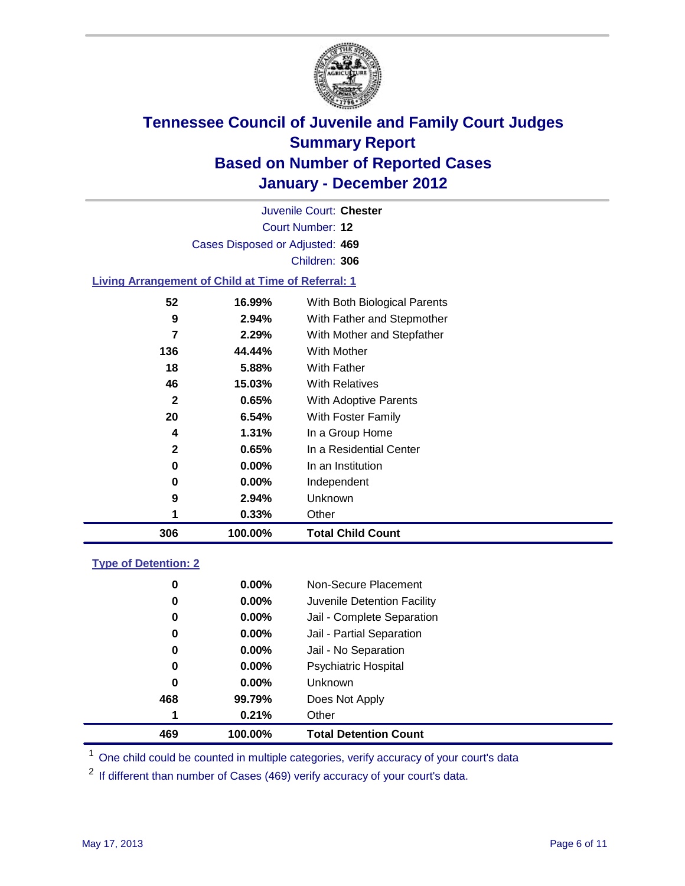

Court Number: **12** Juvenile Court: **Chester** Cases Disposed or Adjusted: **469** Children: **306**

### **Living Arrangement of Child at Time of Referral: 1**

| 306 | 100.00%  | <b>Total Child Count</b>     |
|-----|----------|------------------------------|
|     | 0.33%    | Other                        |
| 9   | 2.94%    | Unknown                      |
| 0   | $0.00\%$ | Independent                  |
| 0   | 0.00%    | In an Institution            |
| 2   | 0.65%    | In a Residential Center      |
| 4   | $1.31\%$ | In a Group Home              |
| 20  | 6.54%    | With Foster Family           |
| 2   | 0.65%    | With Adoptive Parents        |
| 46  | 15.03%   | <b>With Relatives</b>        |
| 18  | 5.88%    | With Father                  |
| 136 | 44.44%   | With Mother                  |
| 7   | 2.29%    | With Mother and Stepfather   |
| 9   | $2.94\%$ | With Father and Stepmother   |
| 52  | 16.99%   | With Both Biological Parents |

### **Type of Detention: 2**

| 469      | 100.00%  | <b>Total Detention Count</b> |
|----------|----------|------------------------------|
| 1        | 0.21%    | Other                        |
| 468      | 99.79%   | Does Not Apply               |
| 0        | 0.00%    | Unknown                      |
| 0        | 0.00%    | <b>Psychiatric Hospital</b>  |
| $\bf{0}$ | 0.00%    | Jail - No Separation         |
| 0        | $0.00\%$ | Jail - Partial Separation    |
| 0        | $0.00\%$ | Jail - Complete Separation   |
| 0        | 0.00%    | Juvenile Detention Facility  |
| 0        | $0.00\%$ | Non-Secure Placement         |
|          |          |                              |

<sup>1</sup> One child could be counted in multiple categories, verify accuracy of your court's data

<sup>2</sup> If different than number of Cases (469) verify accuracy of your court's data.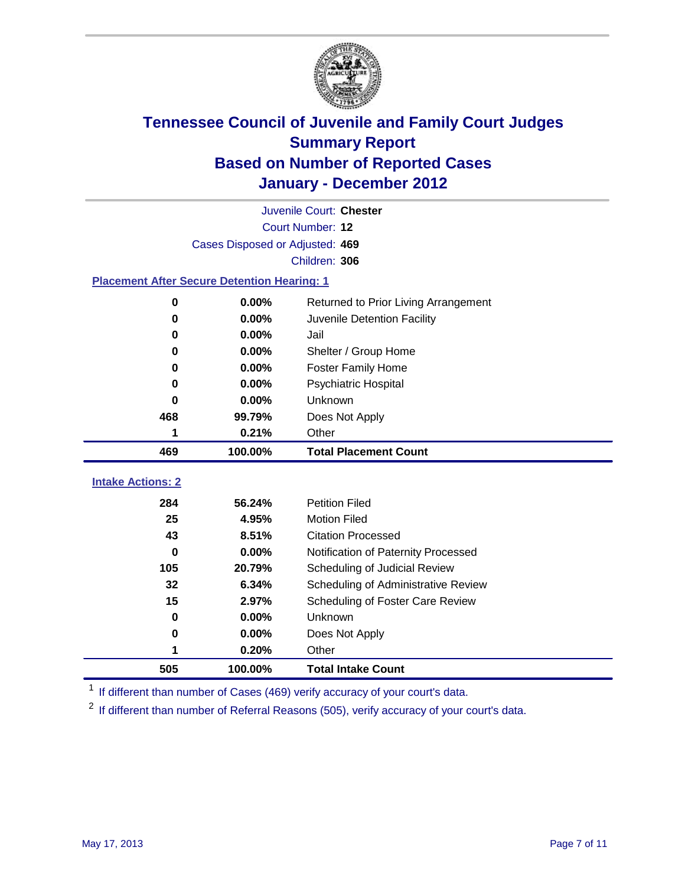

|                                                    | Juvenile Court: Chester         |                                      |  |  |  |
|----------------------------------------------------|---------------------------------|--------------------------------------|--|--|--|
|                                                    | Court Number: 12                |                                      |  |  |  |
|                                                    | Cases Disposed or Adjusted: 469 |                                      |  |  |  |
|                                                    |                                 | Children: 306                        |  |  |  |
| <b>Placement After Secure Detention Hearing: 1</b> |                                 |                                      |  |  |  |
| 0                                                  | 0.00%                           | Returned to Prior Living Arrangement |  |  |  |
| $\bf{0}$                                           | 0.00%                           | Juvenile Detention Facility          |  |  |  |
| $\bf{0}$                                           | 0.00%                           | Jail                                 |  |  |  |
| $\bf{0}$                                           | 0.00%                           | Shelter / Group Home                 |  |  |  |
| 0                                                  | 0.00%                           | <b>Foster Family Home</b>            |  |  |  |
| $\bf{0}$                                           | 0.00%                           | Psychiatric Hospital                 |  |  |  |
| 0                                                  | 0.00%                           | Unknown                              |  |  |  |
| 468                                                | 99.79%                          | Does Not Apply                       |  |  |  |
| 1                                                  | 0.21%                           | Other                                |  |  |  |
| 469                                                | 100.00%                         | <b>Total Placement Count</b>         |  |  |  |
|                                                    |                                 |                                      |  |  |  |
| <b>Intake Actions: 2</b>                           |                                 |                                      |  |  |  |
| 284                                                | 56.24%                          | <b>Petition Filed</b>                |  |  |  |
| 25                                                 | 4.95%                           | <b>Motion Filed</b>                  |  |  |  |
| 43                                                 | 8.51%                           | <b>Citation Processed</b>            |  |  |  |
| $\bf{0}$                                           | 0.00%                           | Notification of Paternity Processed  |  |  |  |
| 105                                                | 20.79%                          | Scheduling of Judicial Review        |  |  |  |
| 32                                                 | 6.34%                           | Scheduling of Administrative Review  |  |  |  |
| 15                                                 | 2.97%                           | Scheduling of Foster Care Review     |  |  |  |
| $\bf{0}$                                           | 0.00%                           | Unknown                              |  |  |  |
| 0                                                  | 0.00%                           | Does Not Apply                       |  |  |  |
| 1                                                  | 0.20%                           | Other                                |  |  |  |
| 505                                                | 100.00%                         | <b>Total Intake Count</b>            |  |  |  |

<sup>1</sup> If different than number of Cases (469) verify accuracy of your court's data.

<sup>2</sup> If different than number of Referral Reasons (505), verify accuracy of your court's data.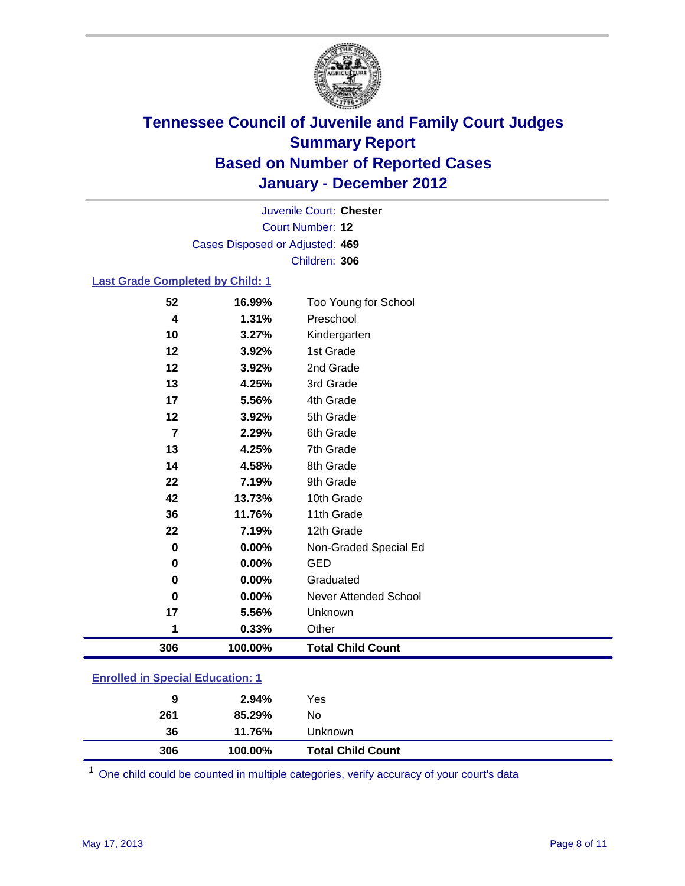

Court Number: **12** Juvenile Court: **Chester** Cases Disposed or Adjusted: **469** Children: **306**

### **Last Grade Completed by Child: 1**

| 52                                      | 16.99%  | Too Young for School     |  |
|-----------------------------------------|---------|--------------------------|--|
| 4                                       | 1.31%   | Preschool                |  |
| 10                                      | 3.27%   | Kindergarten             |  |
| 12                                      | 3.92%   | 1st Grade                |  |
| 12                                      | 3.92%   | 2nd Grade                |  |
| 13                                      | 4.25%   | 3rd Grade                |  |
| 17                                      | 5.56%   | 4th Grade                |  |
| 12                                      | 3.92%   | 5th Grade                |  |
| $\overline{7}$                          | 2.29%   | 6th Grade                |  |
| 13                                      | 4.25%   | 7th Grade                |  |
| 14                                      | 4.58%   | 8th Grade                |  |
| 22                                      | 7.19%   | 9th Grade                |  |
| 42                                      | 13.73%  | 10th Grade               |  |
| 36                                      | 11.76%  | 11th Grade               |  |
| 22                                      | 7.19%   | 12th Grade               |  |
| $\mathbf 0$                             | 0.00%   | Non-Graded Special Ed    |  |
| $\mathbf 0$                             | 0.00%   | <b>GED</b>               |  |
| 0                                       | 0.00%   | Graduated                |  |
| $\bf{0}$                                | 0.00%   | Never Attended School    |  |
| 17                                      | 5.56%   | Unknown                  |  |
| 1                                       | 0.33%   | Other                    |  |
| 306                                     | 100.00% | <b>Total Child Count</b> |  |
| <b>Enrolled in Special Education: 1</b> |         |                          |  |

| 306 | 100.00% | <b>Total Child Count</b> |  |  |
|-----|---------|--------------------------|--|--|
| 36  | 11.76%  | Unknown                  |  |  |
| 261 | 85.29%  | No.                      |  |  |
| 9   | 2.94%   | Yes                      |  |  |
|     |         |                          |  |  |

One child could be counted in multiple categories, verify accuracy of your court's data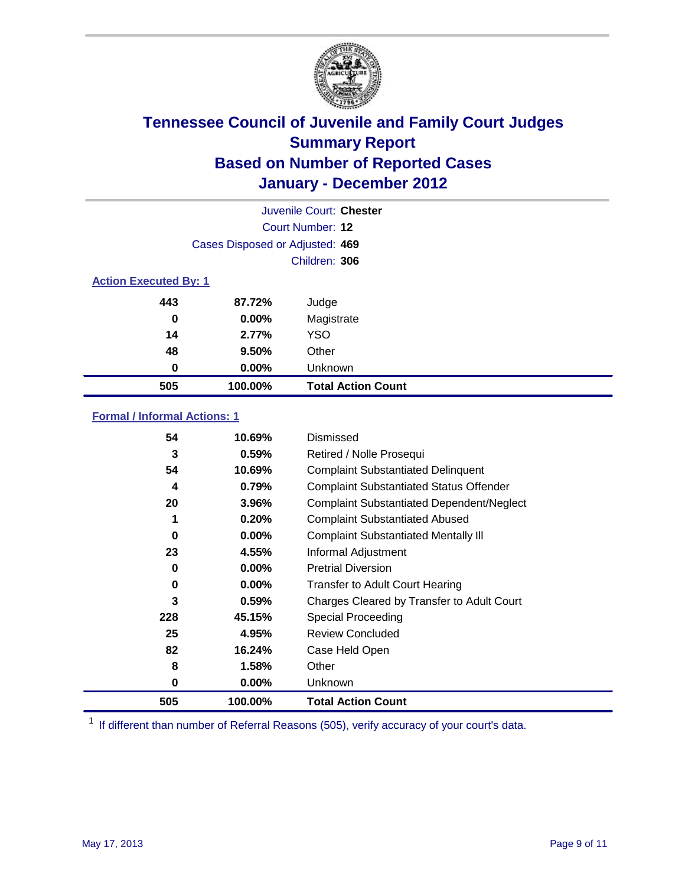

|                              | Juvenile Court: Chester         |                           |  |  |
|------------------------------|---------------------------------|---------------------------|--|--|
|                              | Court Number: 12                |                           |  |  |
|                              | Cases Disposed or Adjusted: 469 |                           |  |  |
|                              | Children: 306                   |                           |  |  |
| <b>Action Executed By: 1</b> |                                 |                           |  |  |
| 443                          | 87.72%                          | Judge                     |  |  |
| 0                            | $0.00\%$                        | Magistrate                |  |  |
| 14                           | 2.77%                           | <b>YSO</b>                |  |  |
| 48                           | 9.50%                           | Other                     |  |  |
| 0                            | 0.00%                           | Unknown                   |  |  |
| 505                          | 100.00%                         | <b>Total Action Count</b> |  |  |

### **Formal / Informal Actions: 1**

| 54  | 10.69%   | Dismissed                                        |
|-----|----------|--------------------------------------------------|
| 3   | 0.59%    | Retired / Nolle Prosequi                         |
| 54  | 10.69%   | <b>Complaint Substantiated Delinquent</b>        |
| 4   | 0.79%    | <b>Complaint Substantiated Status Offender</b>   |
| 20  | 3.96%    | <b>Complaint Substantiated Dependent/Neglect</b> |
| 1   | 0.20%    | <b>Complaint Substantiated Abused</b>            |
| 0   | $0.00\%$ | <b>Complaint Substantiated Mentally III</b>      |
| 23  | 4.55%    | Informal Adjustment                              |
| 0   | $0.00\%$ | <b>Pretrial Diversion</b>                        |
| 0   | $0.00\%$ | <b>Transfer to Adult Court Hearing</b>           |
| 3   | 0.59%    | Charges Cleared by Transfer to Adult Court       |
| 228 | 45.15%   | Special Proceeding                               |
| 25  | 4.95%    | <b>Review Concluded</b>                          |
| 82  | 16.24%   | Case Held Open                                   |
| 8   | 1.58%    | Other                                            |
| 0   | $0.00\%$ | <b>Unknown</b>                                   |
| 505 | 100.00%  | <b>Total Action Count</b>                        |

<sup>1</sup> If different than number of Referral Reasons (505), verify accuracy of your court's data.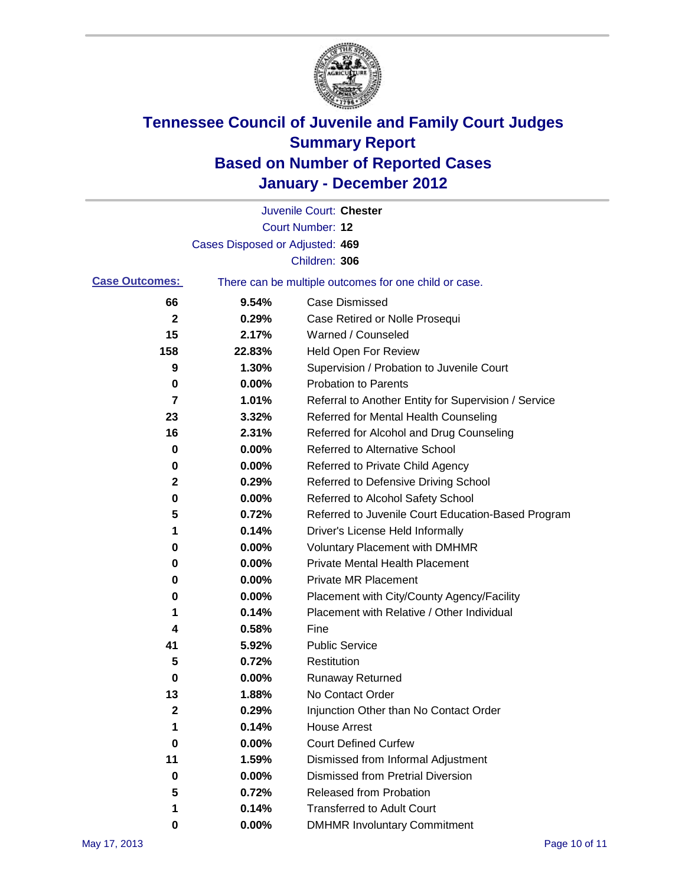

|                       |                                 | Juvenile Court: Chester                               |
|-----------------------|---------------------------------|-------------------------------------------------------|
|                       |                                 | Court Number: 12                                      |
|                       | Cases Disposed or Adjusted: 469 |                                                       |
|                       |                                 | Children: 306                                         |
| <b>Case Outcomes:</b> |                                 | There can be multiple outcomes for one child or case. |
| 66                    | 9.54%                           | <b>Case Dismissed</b>                                 |
| $\mathbf{2}$          | 0.29%                           | Case Retired or Nolle Prosequi                        |
| 15                    | 2.17%                           | Warned / Counseled                                    |
| 158                   | 22.83%                          | <b>Held Open For Review</b>                           |
| 9                     | 1.30%                           | Supervision / Probation to Juvenile Court             |
| 0                     | 0.00%                           | <b>Probation to Parents</b>                           |
| 7                     | 1.01%                           | Referral to Another Entity for Supervision / Service  |
| 23                    | 3.32%                           | Referred for Mental Health Counseling                 |
| 16                    | 2.31%                           | Referred for Alcohol and Drug Counseling              |
| 0                     | 0.00%                           | <b>Referred to Alternative School</b>                 |
| 0                     | 0.00%                           | Referred to Private Child Agency                      |
| 2                     | 0.29%                           | Referred to Defensive Driving School                  |
| 0                     | 0.00%                           | Referred to Alcohol Safety School                     |
| 5                     | 0.72%                           | Referred to Juvenile Court Education-Based Program    |
| 1                     | 0.14%                           | Driver's License Held Informally                      |
| 0                     | 0.00%                           | <b>Voluntary Placement with DMHMR</b>                 |
| 0                     | 0.00%                           | <b>Private Mental Health Placement</b>                |
| 0                     | 0.00%                           | <b>Private MR Placement</b>                           |
| 0                     | 0.00%                           | Placement with City/County Agency/Facility            |
| 1                     | 0.14%                           | Placement with Relative / Other Individual            |
| 4                     | 0.58%                           | Fine                                                  |
| 41                    | 5.92%                           | <b>Public Service</b>                                 |
| 5                     | 0.72%                           | Restitution                                           |
| 0                     | 0.00%                           | Runaway Returned                                      |
| 13                    | 1.88%                           | No Contact Order                                      |
| 2                     | 0.29%                           | Injunction Other than No Contact Order                |
| 1                     | 0.14%                           | <b>House Arrest</b>                                   |
| 0                     | 0.00%                           | <b>Court Defined Curfew</b>                           |
| 11                    | 1.59%                           | Dismissed from Informal Adjustment                    |
| 0                     | 0.00%                           | <b>Dismissed from Pretrial Diversion</b>              |
| 5                     | 0.72%                           | Released from Probation                               |
| 1                     | 0.14%                           | <b>Transferred to Adult Court</b>                     |
| 0                     | $0.00\%$                        | <b>DMHMR Involuntary Commitment</b>                   |